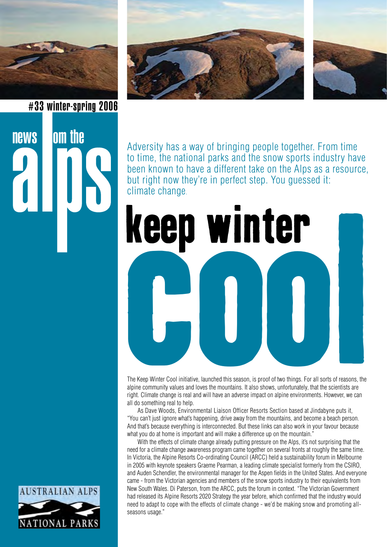

news om the

#33 winter-spring 2006



keep winter



Adversity has a way of bringing people together. From time to time, the national parks and the snow sports industry have been known to have a different take on the Alps as a resource, but right now they're in perfect step. You guessed it: climate change.

The Keep Winter Cool initiative, launched this season, is proof of two things. For all sorts of reasons, the The Keep Winter Cool initiative, launched this season, is proof of two things. For all sorts of reasons, the<br>The Keep Winter Cool initiative, launched this season, is proof of two things. For all sorts of reasons, the<br>righ

alpine community values and loves the mountains. It also shows, unfortunately, that the scientists are right. Climate change is real and will have an adverse impact on alpine environments. However, we can all do something real to help.

As Dave Woods, Environmental Liaison Officer Resorts Section based at Jindabyne puts it, "You can't just ignore what's happening, drive away from the mountains, and become a beach person. And that's because everything is interconnected. But these links can also work in your favour because what you do at home is important and will make a difference up on the mountain.'

With the effects of climate change already putting pressure on the Alps, it's not surprising that the need for a climate change awareness program came together on several fronts at roughly the same time. In Victoria, the Alpine Resorts Co-ordinating Council (ARCC) held a sustainability forum in Melbourne in 2005 with keynote speakers Graeme Pearman, a leading climate specialist formerly from the CSIRO, and Auden Schendler, the environmental manager for the Aspen fields in the United States. And everyone came - from the Victorian agencies and members of the snow sports industry to their equivalents from New South Wales. Di Paterson, from the ARCC, puts the forum in context. "The Victorian Government had released its Alpine Resorts 2020 Strategy the year before, which confirmed that the industry would need to adapt to cope with the effects of climate change - we'd be making snow and promoting allseasons usage."

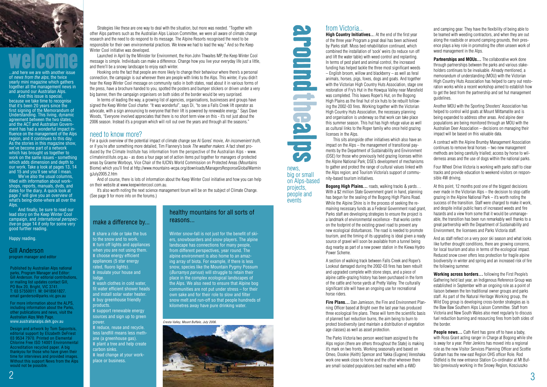

# welcome<br>
...and here we are with another issue

Published by Australian Alps national parks, Program Manager and Editor: Gill Anderson. For editorial contributions, or mailing list updates contact Gill, PO Box 20, Bright, VIC 3741. T: 03 57550011. M: 0418561827. email ganderso@parks.vic.gov.au

For more information about the ALPS, including information about the Parks, other publications and news, visit the Australian Alps Web Page. www.australianalps.deh.gov.au

Design and artwork by Tom Sapontsis, editorial support by Elizabeth DeFriest 03 9534 7970. Printed on Elemental Chlorine Free ISO 14001 Environmental Accreditation recycled paper. A big thankyou for those who have given their time for interviews and provided images. Without this support News from the Alps would not be possible.

*Cresta Valley, Mount Buffalo, July 2006.*



Strategies like these are one way to deal with the situation, but more was needed. "Together with other Alps partners such as the Australian Alps Liaison Committee, we were all aware of climate change research and the need to do respond to its message. The Alpine Resorts recognised the need to be responsible for their own environmental practices. We knew we had to lead the way." And so the Keep Winter Cool initiative was developed.

Launched in April by the Minister for Environment, the Hon John Thwaites MP, the Keep Winter Cool message is simple. Individuals can make a difference. Change how you live your everyday life just a little, and there'll be a snowy landscape to enjoy each winter.

Hooking onto the fact that people are more likely to change their behaviour where there's a personal connection, the campaign is out wherever there are people with links to the Alps. This winter, if you didn't hear the Keep Winter Cool message on community radio in both states, read about it in various forms of the press, have a brochure handed to you, spotted the posters and bumper stickers or driven under a very big banner, then the campaign organisers on both sides of the border would be very surprised.

- $\blacksquare$  wash clothes in cold water. fit water efficient shower heads and install solar water heater.  $\blacksquare$  buy greenhouse friendly products.
- $\blacksquare$  support renewable energy sources and sign up to green power.
- $\blacksquare$  reduce, reuse and recycle. less landfill means less methane (a greenhouse gas).  $\blacksquare$  plant a tree and help create carbon sinks.
- $\blacksquare$  lead change at your workplace or business.

In terms of leading the way, a growing list of agencies, organisations, businesses and groups have signed the Keep Winter Cool charter. "It was wonderful", says Di, "to see a Falls Creek lift operator as advocate, with a sign announcing to everyone that their lift is powered by renewable energy." Says Dave Woods, "Everyone involved appreciates that there is no short term view on this - it's not just about the 2006 season. Instead it's a program which will roll out over the years and through all the seasons."

# need to know more?

For a quick overview of the potential impact of climate change see Al Gores' movie, *An inconvenient truth*, or if you're after something more detailed, Tim Flannery's book *The weather makers*. A fact sheet produced by the Climate Institute has information from the perspective of the Australian Alps - www. climateinstitute.org.au - as does a four page set of action items put together for managers of protected areas by Graeme Worboys, Vice Chair of the IUCN's World Commission on Protected Areas (Mountains Biome) which you'll find at http://www.mountains-wcpa.org/downloads/ManagersResponseGlobalWarmin gJuly2005.2.htm

**High Country Initiatives...** At the end of the first year of the three year Program a great deal has been achieved by Parks staff. Moss bed rehabilitation continued, which combined the installation of 'sock' weirs (to reduce run off and lift the water table) with weed control and replanting. In terms of pest plant and animal control, the increased funding has helped tackle the three most significant weeds – English broom, willow and blackberry – as well as feral animals, horses, pigs, foxes, dogs and goats. And together with the Victorian High Country Huts Association, stage one restoration of Fry's Hut in the Howqua Valley near Mansfield was completed. This leaves Roper's Hut, on the Bogong High Plains as the final hut of six huts to be rebuilt following the 2002-03 fires. Working together with the Victorian High Country Huts Association, the necessary planning and organisation is underway so that work can take place this summer season. This hut has high refuge value as well as cultural links to the Roper family who once held grazing licenses in the Alps.

And of course, there is lots of information about the Keep Winter Cool initiative and how you can help on their website at www.keepwintercool.com.au.

It's also worth noting the next science management forum will be on the subject of Climate Change. (See page 9 for more info on the forums.)

# make a difference by...

 $\blacksquare$  share a ride or take the bus to the snow and to work.  $\blacksquare$  turn off lights and appliances when you are not using them.  $\blacksquare$  choose energy efficient appliances (5 star energy rated, fluoro lights).  $\blacksquare$  insulate your house and

## lodge.

# healthy mountains for all sorts of reasons...

**Partnerships and MOUs...** The collaborative work done through partnerships between the parks and various stakeholders continues to be invaluable. Already mentioned, a memorandum of understanding (MOU) with the Victorian High Country Huts Association has helped to carry out restoration works while a recent workshop aimed to establish how to get the best from the partnership and set hut management guidelines.

Winter snow-fall is not just for the benefit of skiers, snowboarders and snow players. The alpine landscape has connections for many people, from different perspectives, year round. The alpine environment is also home to an amazing array of biota. For example, if there is less snow, species like the Mountain Pygmy Possum (*Burramys parvus*) will struggle to retain their place in the complex ecological landscapes of the Alps. We also need to ensure that Alpine bog communities are not put under stress – for their own sake and for their role to slow and filter snow melt and run-off so that people hundreds of kilometres away have pure drinking water.

# from Victoria...

**People news...** Cath Kent has gone off to have a baby. with Ross Grant acting ranger in Charge at Bogong while she is away for a year. Peter Jenkins has moved into a regional role as the new Visitor Services Planning Officer and Scottie Graham has the new east Region OHS officer Role. Rod Oldfield is the new entrance Station Co-ordinator at Mt Buffalo (previously working in the Snowy Region, Kosciuszko

This sits alongside other initiatives which also have an impact on the Alps – the management of transitional payments by the Department of Sustainability and Environment (DSE) for those who previously held grazing licenses within the Alpine National Park; DSE's development of mechanisms to gather and protect the range of cultural values linked with the Alps region; and Tourism Victoria's support of community-based tourism initiatives.

**Bogong High Plains...** roads, walking tracks & yards… With a \$2 million State Government grant in hand, planning has begun for the sealing of the Bogong High Plains Road. While the Alpine Shire is in the process of seeking the remaining necessary funds as a Federal Government road grant, Parks staff are developing strategies to ensure the project is a landmark of environmental excellence - that works centre on the footprint of the existing gravel road to prevent any new ecological disturbances. The road is needed to promote tourism, and the timing of its upgrading is ideal given a ready source of gravel will soon be available from a tunnel being dug nearby as part of a new power station in the Kiewa Hydro Power Scheme.

A section of walking track between Falls Creek and Roper's Lookout damaged during the 2002-03 fires has been rebuilt and upgraded complete with stone steps, and a piece of alpine cattle-grazing history has been purchased in the form of the cattle and horse yards at Pretty Valley. The culturally significant site will have an ongoing use for recreational horse riders.

**Fire Plans...** Dan Jamieson, the Fire and Environment Planning Officer based at Bright over the last year has produced three ecological fire plans. These will form the scientific basis of planned fuel reduction burns, the aim being to burn to protect biodiversity (and maintain a distribution of vegetation age classes) as well as asset protection.

The Parks Victoria two person weed team assigned to the Alps region (there are others throughout the State) is making it's mark on two fronts. Working seasonally and based on Omeo, Dookie (Keith) Spencer and Yakka (Eugene) Vereshaka work one week close to home and the other wherever there are small isolated populations best reached with a 4WD

and camping gear. They have the flexibility of being able to be teamed with weeding contractors, and when they are out along the roadside or around camping grounds, their presence plays a key role in promoting the often unseen work of weed management in the Alps.

Another MOU with the Sporting Shooters' Association has helped to control wild goats at Mount Mittamatite and is being expanded to address other areas. And alpine deer populations are being monitored through an MOU with the Australian Deer Association – decisions on managing their impact will be based on this valuable data.

A contract with the Alpine Brumby Management Association continues to remove feral horses – two new management methods are being carefully trialled; access by horse to wilderness areas and the use of dogs within the national parks.

Four Wheel Drive Victoria is working with parks staff to clear tracks and provide education to weekend visitors on responsible 4W driving.

At this point, 12 months post one of the biggest decisions ever made in the Victorian Alps – the decision to stop cattle grazing in the Alpine National Park – it's worth noting the success of the transition. Staff were charged to make it work, and despite initial public fears of increased weeds and fire hazards and a view from some that it would be unmanageable, the transition has been run remarkably well thanks to a great partnership with the Department of Sustainability and Environment, the licensees and Parks Victoria staff.

And as staff reflect on a very poor ski season and what looks like further drought conditions, there are growing concerns, for local tourism and also in terms of the ecological impact. Reduced snow cover offers less protection for fragile alpine biodiversity in winter and spring and an increased risk of fire the following summer.

**Working across borders...** following the First People's Gathering held last year, an Indigenous Reference Group was established in September with an ongoing role as a point of liaison between the ten traditional owner groups and parks staff. As part of the Natural Heritage Working group, the Wild Dog group is developing cross-border strategies as is the Baw Baw Southern Alps Liaison Committee. Staff from Victoria and New South Wales also meet regularly to discuss fuel reduction burning and resourcing fires from both sides of the border.

news, big or small on Alps-based

events<br> **explored and the Superior Scrib and Superior Scrib and Superior Scrib and Superior Scrib and Superior Scrib and Superior Scrib and Superior Scrib and Superior Scrib and Superior Scrib and Superior Scrib and Superi** 

T

N

**POINTO** 

projects,

people and

of *news from the alps*, the twice yearly mini magazine which gathers together all the management news in and around our Australian Alps.

And this issue is special, because we take time to recognise that it's been 20 years since the first signing of the Memorandum of Understanding. This living, dynamic agreement between the two states, and the ACT and Australian Government has had a wonderful impact influence on the management of the Alps region, and it continues to this day. As the stories in this magazine show, we've become part of a network which has brought us together to work on the same issues - something which adds dimension and depth to our work. Take a look at pages 13, 14 and 15 and you'll see what I mean.

We've also the usual columns, filled with information about workshops, reports, manuals, dvds, and dates for the diary. A quick look at page 7 will give you an overview of what's being-done-where all over the Alps.

And finally, be sure to read our lead story on the Keep Winter Cool campaign, and *international perspective* on page 14 if only for some very good further reading.

Happy reading.

# Gill Anderson

program manager and editor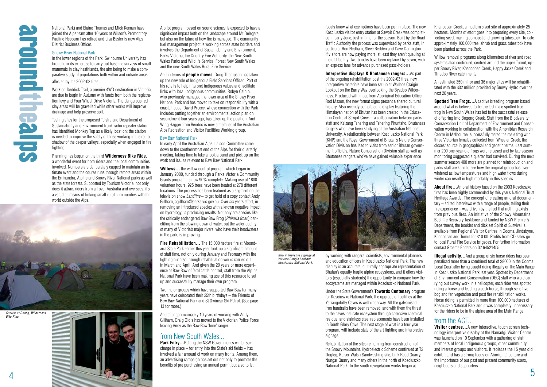

National Park) and Elaine Thomas and Mick Keenan have joined the Alps team after 10 years at Wilson's Promontory. Pauline Hepburn has retired and Lisa Basler is now Alps District Business Officer.

## Snowy River National Park

In the lower regions of the Park, Swinburne University has brought in its expertise to carry out baseline surveys of small mammals in clay heathlands, the aim being to make a comparative study of populations both within and outside areas affected by the 2002-03 fires.

Work on Deddick Trail, a premier 4WD destination in Victoria, are due to begin in Autumn with funds from both the registration levy and Four Wheel Drive Victoria. The dangerous red clay areas will be gravelled while other works will improve drainage and help preserve soil.

Testing sites for the proposed Telstra and Department of Sustainability and Environment trunk radio repeater station has identified Monkey Top as a likely location; the station is needed to improve the safety of those working in the radio shadow of the deeper valleys, especially when engaged in fire fighting.

Planning has begun on the third **Wilderness Bike Ride**, a wonderful event for both riders and the local communities involved. Numbers are deliberately capped to maintain an intimate event and the course runs through remote areas within the Errinundra, Alpine and Snowy River National parks as well as the state forests. Supported by Tourism Victoria, not only does it attract riders from all over Australia and overseas, it's a valuable means of linking small rural communities with the world outside the Alps.

A pilot program based on sound science is expected to have a significant impact both on the landscape around Mt Delegate. but also on the future of how fire is managed. The community fuel management project is working across state borders and involves the Department of Sustainability and Environment, Parks Victoria, the Country Fire Authority, the New South Wales Parks and Wildlife Service, Forest New South Wales and the new South Wales Rural Fire Service.

And in terms of **people moves**, Doug Thompson has taken up the new role of Indigenous Field Services Officer., Part of his role is to help interpret indigenous values and facilitate links with local indigenous communities. Robyn Calnin, who previously managed the lower area of the Snowy River National Park and has moved to take on responsibility with a coastal focus. David Preece, whose connection with the Park includes putting together an environmental action plan on secondment four years ago, has taken up the position. And Wing Hagger from Bendoc is now a member of the Australian Alps Recreation and Visitor Facilities Working group.

**Park Entry...** Putting the NSW Government's winter surcharge in place – for entry into the State's ski fields – has involved a fair amount of work on many fronts. Among them, an advertising campaign has set out not only to promote the benefits of pre purchasing an annual permit but also to let

## Baw Baw National Park

In early April the Australian Alps Liaison Committee came down to the southernmost end of the Alps for their quarterly meeting, taking time to take a look around and pick up on the work and issues relevant to Baw Baw National Park.

**Spotted Tree Frogs...**A captive breeding program based around what is believed to be the last male spotted tree frog in New South Wales has led to the successful release of offspring into Bogong Creek. Staff from the Biodversity Conservation Unit of Department of Environment and Conservation working in collaboration with the Amphibian Research Centre in Melbourne, successfully mated the male frog with three Victorian females collected from Wheeler Creek, the closest source in geographical and genetic terms. Last summer 200 one-year-old frogs were released and by late season monitoring suggested a quarter had survived. During the next summer season 400 more are planned for reintroduction and parks staff are keen to see how the original group has overwintered as low temperatures and high water flows during winter can result in high mortality in this species.

**Willows...** the willow control program which began in January 2000, funded through a Parks Victoria Community Grants program, is now 90% complete. Making use of 1800 volunteer hours, 925 trees have been treated at 278 different locations. The process has been featured as a segment on the television show *Landline* – to get hold of a copy contact Andy Gillham, agillham@parks.vic.gov.au. Over six years effort, in removing an introduced species with a known negative impact on hydrology, is producing results. Not only are species like the critically endangered Baw Baw Frog (*Philoria frosti*) benefiting from the slowing down of water, but the water quality of many of Victoria's major rivers, who have their headwaters in the park, is improving.

> **Illegal activity...**And a group of six horse riders has been penalised more than a combined total of \$8000 in the Cooma Local Court after being caught riding illegally on the Main Range in Kosciuszko National Park last year. Spotted by Department of Environment and Conservation (DEC) staff who were carrying out survey work in a helicopter, each rider was spotted riding a horse and leading a pack horse, through sensitive bog and fen vegetation and post fire rehabilitation works. Horse riding is permitted in more than 100,000 hectares of Kosciuszko National Park and it was completely unnecessary for the riders to be in the alpine area of the Main Range.

# from the ACT...

**Fire Rehabilitation...** The 15,000 hectare fire at Moondarra State Park earlier this year took up a significant amount of staff time, not only during January and February with fire fighting but also through rehabilitation works carried out in March and April. And given the 20 years or more experience at Baw Baw of feral cattle control, staff from the Alpine National Park have been making use of this resource to set up and successfully manage their own program.

Two major groups which have supported Baw Baw for many years have celebrated their 25th birthdays – the Friends of Baw Baw National Park and St Gwinear Ski Patrol. (See page 13 for more.)

And after approximately 10 years of working with Andy Gillham, Craig Oldis has moved to the Victorian Police Force leaving Andy as the Baw Baw 'lone' ranger.

# from New South Wales...

Under the State Government's **Towards Centenary** program for Kosciuszko National Park, the upgrade of facilities at the Yarrangobilly Caves is well underway. All the galvanised iron handrails have been removed, and with them the threat to the caves' delicate ecosystem through corrosive chemical residue, and stainless steel replacements have been installed in South Glory Cave. The next stage of what is a four year program, will include state of the art lighting and interpretive signage.

Khancoban Creek, a medium sized site of approximately 25 hectares. Months of effort goes into preparing every site, collecting seed, making compost and growing tubestock. To date approximately 100,000 tree, shrub and grass tubestock have been planted across the Park.

Willow removal programs along kilometres of river and road systems also continued, centred around the upper Tumut, upper Snowy River, Khancoban Creek, Happy Jacks Creek and Thredbo River catchments.

An estimated 350 minor and 36 major sites will be rehabilitated with the \$32 million provided by Snowy Hydro over the next 20 years.

**About fire…**An oral history based on the 2003 Kosciuszko fires has been highly commended by this year's National Trust Heritage Awards. The concept of creating an oral documentary – edited interviews with a range of people, telling their fire experience – was driven by the fact that nothing exists from previous fires. An initiative of the Snowy Mountains Bushfire Recovery Taskforce and funded by NSW Premier's Department, the booklet and disk set Spirit of Survival is available from Regional Visitor Centres in Cooma, Jindabyne, Khancoban and Tumut for \$10.00. Profits from CD sales go to local Rural Fire Service brigades. For further information contact Graeme Enders on 02 64521455.

**Visitor centres…**A new interactive, touch screen technology interpretive display at the Namadgi Visitor Centre was launched on 10 September with a gathering of staff, members of local indigenous groups, other community and interest groups and visitors. It replaces the 15 year old exhibit and has a strong focus on Aboriginal culture and the importance of our past and present community users, neighbours and supporters.

locals know what exemptions have been put in place. The new Kosciuszko visitor entry station at Sawpit Creek was completed in early June, just in time for the season. Built by the Road Traffic Authority the process was supervised by parks staff, in particular Ron Nedham, Steve Redden and Dave Darlington. If visitors are now paying more, at least they aren't queuing at the old facility. Two booths have been replaced by seven, with an express lane for advance purchased pass-holders.

## **Interpretive displays & Bhutanese rangers…**As part

of the ongoing rehabilitation post the 2002-03 fires, new interpretive materials have been set up at Wallace Craigie Lookout on the Barry Way overlooking the Byadbo Wilderness. Produced with input from Aboriginal Education Officer Rod Mason, the new format signs present a shared cultural history. Also recently completed, a display featuring the Himalayan nation of Bhutan has been created in the Education Centre at Sawpit Creek – a collaboration between parks staff and Kelzang Tshering and Tshering Phuntsho, Bhutanses rangers who have been studying at the Australian National University. A relationship between Kosciuszko National Park (KNP) and the Royal Government of Bhutan's Nature Conservation Division has lead to visits from senior Bhutan government officials, Nature Conservation Division staff as well as Bhutanese rangers who've have gained valuable experience



by working with rangers, scientists, environmental planners and education officers in Kosciuszko National Park. The new display is an accurate, culturally appropriate representation of Bhutan's equally fragile alpine ecosystems, and it offers visitors (especially students) the opportunity to compare how the ecosystems are managed within Kosciuszko National Park.

Rehabilitation of the sites remaining from construction of the Snowy Mountains Hydroelectric Scheme continued at T2 Dogleg, Kaiser-Walsh Sandwashing site, Link Road Quarry, Nungar Quarry and many others in the north of Kosciuszko National Park. In the south revegetation works began at



*Sunrise at Goong, Wilderness Bike Ride.*



*New interpretive signage at Wallace Craigie Lookout, Kosciuszko National Park.*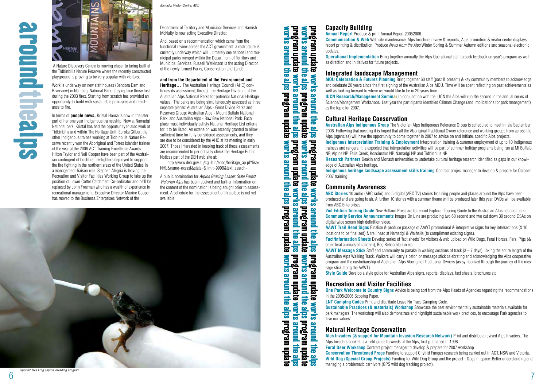# **Capacity Building**

**Annual Report** Produce & print Annual Report 20052006. **Communication & Web** Web site maintenance, Alps brochure review & reprints, Alps promotion & visitor centre displays, report printing & distribution. Produce *News from the Alps* Winter Spring & Summer Autumn editions and seasonal electronic updates.

**Operational Implementation** Bring together annually the Alps Operational staff to seek feedback on year's program as well as direction and initiatives for future projects.

## **Integrated landscape Management**

**MOU Celebration & Futures Planning** Bring together 60 staff (past & present) & key community members to acknowledge and celebrate 20 years since the first signing of the Australian Alps MOU. Time will be spent reflecting on past achievements as well as looking forward to where we would like to be in 20 years time. **IUCN Research/Management Seminar** In conjunction with the IUCN the Alps will run the second in the annual series of Science/Management Workshops. Last year the participants identified Climate Change (and implications for park management) as the topic for 2007.

# **Cultural Heritage Conservation**

**Australian Alps Indigenous Group** The Victorian Alps Indigenous Reference Group is scheduled to meet in late September 2006. Following that meeting it is hoped that all the Aboriginal Traditional Owner reference and working groups from across the Alps (agencies) will have the opportunity to come together in 2007 to advise on and initiate, specific Alps projects. **Indigenous Interpretation Training & Employment** Interpretation training & summer employment of up to 10 Indigenous trainees and rangers. It is expected that interpretation activities will be part of summer holiday programs being run at Mt Buffalo NP, Alpine NP, Falls Creek, Kosciuszko NP, Namadgi NP and Tidbinbilla NR. **Research Partners** Deakin and Monash universities to undertake cultural heritage research identified as gaps in our knowledge of Australian Alps heritage.

**Indigenous heritage landscape assessment skills training** Contract project manager to develop & prepare for October 2007 training.

# **Community Awareness**

**ABC Stories** 10 audio (ABC radio) and 5 digital (ABC TV) stories featuring people and places around the Alps have been produced and are going to air. A further 10 stories with a summer theme will be produced later this year. DVDs will be available from ABC Enterprises.

**2nd Edition Touring Guide** New Holland Press are to reprint Explore -Touring Guide to the Australian Alps national parks. **Community Service Announcements** Images On Line are producing two 60 second and two cut down 30 second CSAs on digital wide screen high definition video.

**AAWT Trail Head Signs** Finalise & produce package of AAWT promotional & interpretive signs for key intersections (X 10 locations to be finalised) & trail head at Namadgi & Walhalla (to compliment existing signs). **Fact/Information Sheets** Develop series of 'fact sheets' for visitors & web upload on Wild Dogs, Feral Horses, Feral Pigs (& other feral animals of concern), Bog Rehabilitation etc. **AAWT Message Stick** Staff and community to partake in walking sections of track (3 – 7 days) linking the entire length of the Australian Alps Walking Track. Walkers will carry a baton or message stick celebrating and acknowledging the Alps cooperative program and the custodianship of Australian Alps Aboriginal Traditional Owners (as symbolized through the journey of the message stick along the AAWT).

**Style Guide** Develop a style guide for Australian Alps signs, reports, displays, fact sheets, brochures etc.

## **Recreation and Visitor Facilities**

**One Park Welcome to Country Signs** Advice is being sort from the Alps Heads of Agencies regarding the recommendations in the 2005/2006 Scoping Paper.

**LNT Camping Codes** Print and distribute Leave No Trace Camping Code. **Sustainable Practices (& materials) Workshop** Showcase the best environmentally sustainable materials available for park managers. The workshop will also demonstrate and highlight sustainable work practices, to encourage Park agencies to 'live our values'.

**Heritage...** The Australian Heritage Council (AHC) continues its assessment, through the Heritage Division, of the Australian Alps National Parks for potential National Heritage values. The parks are being simultaneously assessed as three separate places: Australian Alps - Great Divide Parks and Reserves Group; Australian Alps - Mount Buffalo National Park; and Australian Alps - Baw Baw National Park. Each place must individually satisfy National Heritage List criteria for it to be listed. An extension was recently granted to allow sufficient time for fully considered assessments, and they are due to be considered by the AHC at its meeting in early 2007. Those interested in keeping track of these assessments are recommended to periodically check the Heritage Public Notices part of the DEH web site at:

http://www.deh.gov.au/cgi-bin/epbc/heritage\_ap.pl?list= NHL&name=exasst&state=&limit=9999&text\_search=

# **Natural Heritage Conservation**

punous sy<mark>oom</mark><br>works stomni program update works<br>works around the alps<br>program update works program update works around the alps works around the alps program update works around the alps program update works around the alps program update program update works around the alps works around the alps program update works around the alps program update works around the alps program update **Jorks around** the alps works around the alps works around the alps **Iorks**  $\overline{a}$ program update<br>works around tt<br>program update works around the alps works around the alps s program update works a<br>e works around the alps p<br>e works around the alps p **MOLKS** around **THE** sd<sub>p</sub> s program update<br>Is around the alps program update **around**  $\frac{1}{2}$ sdie

**Alps Invaders (& support for Mountain Invasion Research Network)** Print and distribute revised Alps Invaders. The Alps Invaders booklet is a field guide to weeds of the Alps, first published in 1998. **Feral Deer Workshop** Contract project manager to develop & prepare for 2007 workshop. **Conservation Threatened Frogs** Funding to support Chytrid Fungus research being carried out in ACT, NSW and Victoria. **Wild Dog (Special Group Projects)** Funding for Wild Dog Group and the project - Dogs in space: Better understanding and managing a problematic carnivore (GPS wild dog tracking project).



A Nature Discovery Centre is moving closer to being built at the Tidbinbilla Nature Reserve where the recently constructed playground is proving to be very popular with visitors.

Work is underway on new staff houses (Bendora Dam and Riverview) in Namadgi National Park, they replace those lost during the 2003 fires. Starting from scratch has provided an opportunity to build with sustainable principles and resistance to fire.

In terms of **people news,** Kristal House is now in the later part of her one year indigenous traineeship. Now at Namadgi National park, Kristal has had the opportunity to also work at Tidbinbilla and within The Heritage Unit. Euroka Gilbert the other indigenous trainee working at Tidbinbilla Nature Reserve recently won the Aboriginal and Torres Islander trainee of the year at the 2006 ACT Training Excellence Awards. Hilton Taylor and Neil Cooper have been part of the Australian contingent of bushfire fire-fighters deployed to support the fire fighting in the northern areas of the United States in a management-liaison role. Stephen Alegria is leaving the Recreation and Visitor Facilities Working Group to take up the position of Lower Cotter Catchment Co-ordinator and he'll be replaced by John Freeman who has a wealth of experience in recreational management. Executive Director Maxine Cooper, has moved to the Business Enterprises Network of the

Department of Territory and Municipal Services and Hamish McNulty is now acting Executive Director.

And, based on a recommendation which came from the functional review across the ACT government, a restructure is currently underway which will ultimately see national and municipal parks merged within the Department of Territory and Municipal Services. Russell Watkinson is the acting Director of the newly formed Parks, Conservation and Lands.

## **and from the Department of the Environment and**

A public nomination for *Alpine Grazing Leases State Forest Victorian Alps* has been received and further information on the content of the nomination is being sought prior to assessment. A schedule for the assessment of this place is not yet available.



*Namadgi Visitor Centre, ACT.*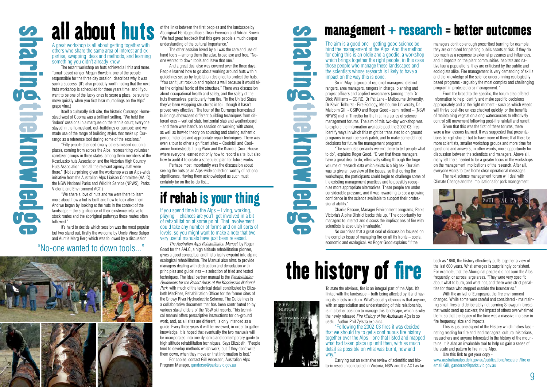9

The aim is a good one - getting good science behind the management of the Alps. And the method for doing this is an oldie and a goodie, a workshop which brings together the right people, in this case those people who manage these landscapes and the scientists whose research is likely to have a impact on the way this is done.

So in May, a group of regional managers, district rangers, area managers, rangers in charge, planning and project officers and applied researchers (among them Dr Dick Williams – CSIRO, Dr Pat Lane - Melbourne University, Dr Kevin Tolhurst - Fire Ecology, Melbourne University, Dr Malcolm Gill - CSIRO and Roger Good - semi retired – (NSW NPWS) met in Thredbo for the first in a series of science management forums. The aim of this two-day workshop was to explore the information available post the 2002-03 fires: identify ways in which this might be translated to on ground programs in each person's patch, and to make some defined decisions for future fire management programs.

"Following the 2002-03 fires it was decided that we should try to get a continuous fire history together over the Alps - one that listed and mapped what had taken place up until then, with as much detail as possible on what was burnt, how and why."

"The scientists certainly weren't there to tell people what to do", explains Roger Good. "Given that these managers have a great deal to do, effectively sifting through the huge volume of research data which exists is a big ask. Our aim was to give an overview of the issues, so that during the workshops, the participants could begin to challenge some of the existing management practices and to possibly recognise more appropriate alternatives. These people are under considerable pressure, and it was rewarding to see a growing confidence in the science available to support their professional ability."

If you spend time in the Alps – living, working, playing – chances are you'll get involved in a bit of rehabilitation at some point. That involvement could take any number of forms and on all sorts of levels, so you might want to make a note that two very useful manuals have just been released.

Charlie Pascoe, Manager Environment programs, Parks Victoria's Alpine District backs this up. "The opportunity for managers to interact and discuss the implications of fire with scientists is absolutely invaluable."

No surprises that a great deal of discussion focused on the complex issue of managing fire on all its fronts – social, economic and ecological. As Roger Good explains "If the

# the history of fire



To state the obvious, fire is an integral part of the Alps. It's linked with the landscape – both being affected by it and having its effects in return. What's equally obvious is that anyone, with an appreciation and understanding of this relationship, is in a better position to manage this landscape, which is why the newly released *Fire History of the Australian Alps* is so useful. Author Phil Zylstra explains...

Carrying out an extensive review of scientific and historic research conducted in Victoria, NSW and the ACT as far



*The Australian Alps Rehabilitation Manual*, by Roger Good for the AALC, a high altitude rehabilitation pioneer, gives a good conceptual and historical viewpoint into alpine ecological rehabilitation. The Manual also aims to provide managers dealing with destruction and denudation with principles and guidelines – a selection of tried and tested techniques. The ideal partner manual is the *Rehabilitation Guidelines for the Resort Areas of the Kosciuszko National Park*, with much of the technical detail contributed by Elizabeth MacPhee, Rehabilitation Officer for the former sites of the Snowy River Hydroelectric Scheme. The Guidelines is a collaborative document that has been contributed to by various stakeholders of the NSW ski resorts. This technical manual offers prescriptive instructions for on-ground work, and, as all sites are different, is only intended as a guide. Every three years it will be reviewed, in order to gather knowledge. It is hoped that eventually the two manuals will be incorporated into one dynamic and contemporary guide to high altitude rehabilitation techniques. Says Elizabeth, "People tend to develop methods which work, but if they don't write them down, when they move on that information is lost."

For copies, contact Gill Anderson, Australian Alps Program Manager, ganderso@parks.vic.gov.au

# $$

# if rehab is your thing

It's hard to decide which session was the most popular but two stand out, firstly the welcome by Uncle Vince Bulger and Auntie Marg Berg which was followed by a discussion



managers don't do enough prescribed burning for example, they are criticised for placing public assets at risk. If they do too much as a response to external pressures and influences, and it impacts on the plant communities, habitats and native fauna populations, they are criticised by the public and ecologists alike. Fire management is very demanding of skills and the knowledge of the science underpinning ecologically based programs - arguably the most complex and challenging program in protected area management. "

From the broad to the specific, the forum also offered information to help identify and make specific decisions appropriately and at the right moment - such as which weeds will thrive post-fire unless checked quickly, or the benefits of maintaining vegetation along watercourses to effectively control silt movement following post-fire rainfall and runoff.

Given that this was the first of these forums, there were a few lessons learned. It was suggested that presentations be kept shorter but to have more of them; that there be more scientists, smaller workshop groups and more time for questions and answers, in other words, more opportunity for discussion between the scientists and managers. Above all, many felt there needed to be a greater focus in the workshops on the management implications of the research. After all, everyone wants to take home clear operational messages.

The next science management forum will deal with Climate Change and the implications for park management.



back as 1860, the history effectively pulls together a view of the last 600 years. What emerges is surprisingly consistent. For example, that the Aboriginal people did not burn the Alps frequently, or across large areas. "They were very specific about what to burn, and what not, and there were strict penalties for those who stepped outside the boundaries." With the arrival of Europeans, the fire environment changed. While some were careful and considered - maintain-

ing small fires and deliberately not burning Snowgum forests that would send up suckers; the impact of others overwhelmed them, so that the legacy of the time was a massive increase in fire frequency, size and impacts.

This is just one aspect of the History which makes fascinating reading for fire and land managers, cultural historians, researchers and anyone interested in the history of the mountains. It is also an invaluable tool to help us gain a sense of the scale and pattern to fire in the Alps.

Use this link to get your copy www.australianalps.deh.gov.au/publications/research/fire or email Gill, ganderso@parks.vic.gov.au

A great workshop is all about getting together with pertise, swapping ideas and methods, and learning something you didn't already know.

The recent workshop on huts achieved all this and more. Tumut-based ranger Megan Bowden, one of the people responsible for the three day session, describes why it was such a success. (It's also probably worth noting that the next huts workshop is scheduled for three years time, and if you want to be one of the lucky ones to score a place, be sure to move quickly when you first hear mumblings on the Alps' grape vine.)

Itself a culturally rich site, the historic Currango Homestead west of Cooma was a brilliant setting. "We held the 'indoor' sessions in a marquee on the tennis court; everyone stayed in the homestead, out-buildings or camped; and we made use of the range of building styles that make up Currango as a reference tool during some of the sessions."

"Fifty people attended (many others missed out on a place), coming from across the Alps, representing volunteer caretaker groups in three states, among them members of the Kosciuszko huts Association and the Victorian High Country Huts Association, and all the relevant agency staff were there." (Not surprising given the workshop was an Alps-wide initiative from the Australian Alps Liaison Committee (AALC), the NSW National Parks and Wildlife Service (NPWS), Parks Victoria and Environment ACT.)

"We share a love of huts and we were there to learn more about how a hut is built and how to look after them. And we began by looking at the huts in the context of the landscape – the significance of their existence relative to stock routes and the aboriginal pathways these routes often followed."

of the links between the first peoples and the landscape by Aboriginal Heritage officers Dean Freeman and Adrian Brown. "We had great feedback that this gave people a much deeper understanding of the cultural importance."

The other session loved by all was the care and use of hand tools – among them the adze, broad axe and froe. "Noone wanted to down tools and leave that one."

And a great deal else was covered over the three days. People learned how to go about working around huts within guidelines set up by legislation designed to protect the huts. "You can't just rock up and replace a wall because it would alter the original fabric of the structure." There was discussion about occupational health and safety, and the safety of the huts themselves, particularly from fire. "In the United States they've been wrapping structures in foil, though it hasn't proved very effective.' The tour of the Currango homestead buildings showcased different building techniques from different eras – vertical slab, horizontal slab and weatherboard - and there were hand's on session on working with stone, as well as how-to theory on sourcing and storing authentic period materials and appropriate repair techniques. There was even a tour to other significant sites – Cooinbil and Coolamine homesteads, Long Plain and the Kiandra Court House where everyone learned not only how to record a site, but also how to audit it to create a scheduled plan for future works.

Perhaps most importantly was the discussion about seeing the huts as an Alps-wide collection worthy of national significance. Having them acknowledged as such must certainly be on the to-do list...

# all about huts

sharingtheknowledge

Œ **Property** 

T

<u>est</u>

N

min<br>19

**MO.**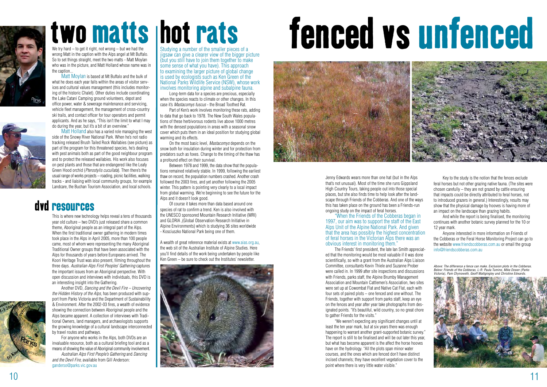

# two matts (hot rats

We try hard  $-$  to get it right, not wrong  $-$  but we had the wrong Matt in the caption with the Alps angel at Mt Buffalo. So to set things straight, meet the two matts - Matt Moylan who was in the picture, and Matt Holland whose name was in the caption...

Matt Moylan is based at Mt Buffalo and the bulk of what he does each year falls within the areas of visitor services and cultural values management (this includes monitoring of the historic Chalet). Other duties include coordinating the Lake Catani Camping ground volunteers, depot and office power, water & sewerage maintenance and servicing, vehicle fleet management, the management of cross-country ski trails, and contact officer for tour operators and permit applicants. And as he says, "This isn't the limit to what I may do during the year, but it's a bit of an overview."

Matt Holland also has a varied role managing the west side of the Snowy River National Park. When he's not radio tracking released Brush Tailed Rock Wallabies (see picture) as part of the program for this threatened species, he's dealing with pest animals both as part of the good neighbour program and to protect the released wallabies. His work also focuses on pest plants and those that are endangered like the Leafy Green Hood orchid (*Pterostylis cucullata*). Then there's the usual range of works projects – roading, picnic facilities, walking tracks - and liaising with local community groups, for example Landcare, the Buchan Tourism Association, and local schools.

Jenny Edwards wears more than one hat (but in the Alps that's not unusual). Most of the time she runs Gippsland High Country Tours, taking people out into those special places, but she also finds time to help look after the landscape through Friends of the Cobberas. And one of the ways this has taken place on the ground has been a Friends-run ongoing study on the impact of feral horses.

"When the Friends of the Cobberas began in 1997, our aim was to support the staff of the East Alps Unit of the Alpine National Park. And given that the area has possibly the highest concentration of feral horses in the Victorian Alps there was an obvious interest in monitoring them."

The Friends' first president, the late Ian Smith appreciated that the monitoring would be most valuable if it was done scientifically, so with a grant from the Australian Alps Liaison Committee, consultants Kevin Thiele and Suzanne Prober were called in. In 1999 after site inspections and discussions with Friends, parks staff, the Alpine Brumby Management Association and Mountain Cattlemen's Association, two sites were set up at Cowombat Flat and Native Cat Flat, each with four sets of paired plots – one fenced and one without. The Friends, together with support from parks staff, keep an eye on the fences and year after year take photographs from designated points. "It's beautiful, wild country, so no great chore to gather Friends for the visits."

"We weren't expecting any significant changes until at least the ten year mark, but at six years there was enough happening to warrant another grant-supported botanic survey." The report is still to be finalised and will be out later this year, but what has become apparent is the affect the horse hooves have on the hydrology. "All the plots span minor water courses, and the ones which are fenced don't have distinct incised channels; they have excellent vegetation cover to the point where there is very little water visible."



This is where new technology helps reveal a tens of thousands year old culture – two DVD's just released share a common theme, Aboriginal people as an integral part of the Alps. When the first traditional owner gathering in modern times took place in the Alps in April 2005, more than 100 people came, most of whom were representing the many Aboriginal Traditional Owner groups that have been associated with the Alps for thousands of years before Europeans arrived. The Koori Heritage Trust was also present, filming throughout the three days. *Australian Alps First Peoples' Gathering* captures the important issues from an Aboriginal perspective. With open discussion and interviews with individuals, this DVD is an interesting insight into the Gathering.

Another DVD, *Dancing and the Devil Fire – Uncovering the Hidden History of the Alps*, has been produced with support from Parks Victoria and the Department of Sustainability & Environment. After the 2002-03 fires, a wealth of evidence showing the connection between Aboriginal people and the Alps became apparent. A collection of interviews with Traditional Owners, land managers, and archaeologists supports the growing knowledge of a cultural landscape interconnected by travel routes and pathways.

For anyone who works in the Alps, both DVDs are an invaluable resource, both as a cultural briefing tool and as a means of showing the value of Aboriginal community involvement. *Australian Alps First People's Gathering* and *Dancing and the Devil Fire*, available from Gill Anderson: ganderso@parks.vic.gov.au

# dvd resources

Key to the study is the notion that the fences exclude feral horses but not other grazing native fauna. (The sites were chosen carefully – they are not grazed by cattle ensuring that impacts could be directly attributed to feral horses, not to introduced grazers in general.) Interestingly, results may show that the physical damage by hooves is having more of an impact on the landscape than grazing habits.

And while the report is being finalised, the monitoring continues with another botanic survey planned for the 10 or 12 year mark.

Anyone interested in more information on Friends of the Cobberas or the Feral Horse Monitoring Project can go to the website www.friendscobberas.com.au or email the group info@friendscobberas.com.au

Studying a number of the smaller pieces of a jigsaw can give a clearer view of the bigger picture (but you still have to join them together to make some sense of what you have). This approach to examining the larger picture of global change is used by ecologists such as Ken Green of the National Parks Wildlife Service (NSW), whose work involves monitoring alpine and subalpine fauna.

Long-term data for a species are precious, especially when the species reacts to climate or other changes. In this case it's *Mastacomys fuscus* - the Broad Toothed Rat.

Part of Ken's work involves monitoring these rats, adding to data that go back to 1978. The New South Wales populations of these herbivorous rodents live above 1000 metres with the densest populations in areas with a seasonal snow cover which puts them in an ideal position for studying global warming and its effects.

On the most basic level, *Mastacomys* depends on the snow both for insulation during winter and for protection from predators such as foxes. Change to the timing of the thaw has a profound effect on their survival.

Between 1978 and 1999, the data show that the populations remained relatively stable. In 1999, following the earliest thaw on record, the population numbers crashed. Another crash followed the 2003 fires, and yet another following the 2005 winter. This pattern is pointing very clearly to a local impact from global warming. We're beginning to see the future for the Alps and it doesn't look good.

Of course it takes more than data based around one species of rat to confirm a trend. Ken is also involved with the UNESCO sponsored Mountain Research Initiative (MRI) and GLORIA ,(Global Observation Research Initiative in Alpine Environments) which is studying 36 sites worldwide - Kosciuszko National Park being one of them.

A wealth of great reference material exists at www.aias.org.au, the web sit of the Australian Institute of Alpine Studies. Here you'll find details of the work being undertaken by people like Ken Green – be sure to check out the Institutes' newsletter.



# fenced vs unfenced



*Above: The difference a fence can make. Exclusion plots in the Cobberas. Below: Friends of the Cobberas, L-R: Paula Tumino, Mike Dower (Parks Victoria), Pam Chynoweth, Geoff Mattgingley and Christine Edwards.*

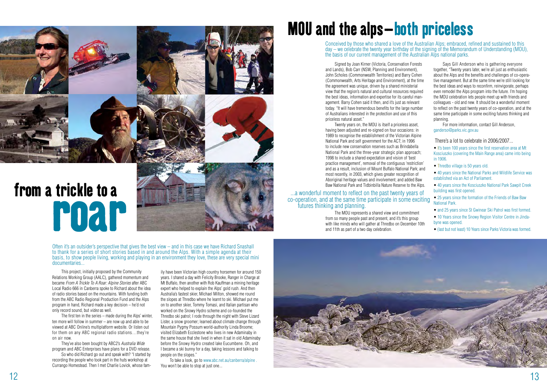This project, initially proposed by the Community Relations Working Group (AALC), gathered momentum and became *From A Trickle To A Roar: Alpine Stories* after ABC Local Radio 666 in Canberra spoke to Richard about the idea of radio stories based on the mountains. With funding both from the ABC Radio Regional Production Fund and the Alps program in hand, Richard made a key decision – he'd not only record sound, but *video* as well.

The first ten in the series – made during the Alps' winter, ten more will follow in summer – are now up and able to be viewed at ABC Online's multiplatform website. Or listen out for them on any ABC regional radio stations…they're on air now.

They've also been bought by ABC2's *Australia Wide* program and ABC Enterprises have plans for a DVD release.

So who did Richard go out and speak with? "I started by recording the people who took part in the huts workshop at Currango Homestead. Then I met Charlie Lovick, whose fam-

Signed by Joan Kirner (Victoria, Conservation Forests and Lands), Bob Carr (NSW, Planning and Environment), John Scholes (Commonwealth Territories) and Barry Cohen (Commonwealth, Arts Heritage and Environment), at the time the agreement was unique, driven by a shared ministerial view that the region's natural and cultural resources required the best ideas, information and expertise for its careful management. Barry Cohen said it then, and it's just as relevant today. "It will have tremendous benefits for the large number of Australians interested in the protection and use of this priceless natural asset."

To take a look, go to www.abc.net.au/canberra/alpine . You won't be able to stop at just one...

Twenty years on, the MOU is itself a priceless asset, having been adjusted and re-signed on four occasions: in 1989 to recognise the establishment of the Victorian Alpine National Park and self government for the ACT; in 1996 to include new conservation reserves such as Brindabella National Park and the three-year strategic plan approach; 1998 to include a shared expectation and vision of 'best practice management', removal of the contiguous 'restriction' and as a result, inclusion of Mount Buffalo National Park; and most recently, in 2003, which gives greater recognition of Aboriginal heritage values and involvement; and added Baw Baw National Park and Tidbinbilla Nature Reserve to the Alps.

The MOU represents a shared view and commitment from so many people past and present, and it's this group with like minds who will gather at Thredbo on December 10th and 11th as part of a two day celebration.





- Thredbo village is 50 years old.
- 40 years since the National Parks and Wildlife Service was established via an Act of Parliament.
- 40 years since the Kosciuszko National Park Sawpit Creek building was first opened.

• 10 Years since the Snowy Region Visitor Centre in Jindabyne was opened.

ily have been Victorian high country horsemen for around 150 years. I shared a day with Felicity Brooke, Ranger in Charge at Mt Buffalo, then another with Rob Kauffman a mining heritage expert who helped to explain the Alps' gold rush. And then Australia's fastest skier, Michael Milton, showed me round the slopes at Thredbo where he learnt to ski. Michael put me on to another skier, Tommy Tomasi, and Italian partisan who worked on the Snowy Hydro scheme and co-founded the Thredbo ski patrol; I rode through the night with Steve Lizard Lister, a snow groomer; learned about climate change through Mountain Pygmy Possum world-authority Linda Broome; visited Elizabeth Ecclestone who lives in new Adaminaby in the same house that she lived in when it sat in old Adaminaby before the Snowy Hydro created lake Eucumbene. Oh, and I became a ski bunny for a day, taking lessons and talking to people on the slopes."

Often it's an outsider's perspective that gives the best view – and in this case we have Richard Snashall to thank for a series of short stories based in and around the Alps. With a simple agenda at their basis, to show people living, working and playing in an environment they love, these are very special mini documentaries...

# MOU and the alps–both priceless

 ...a wonderful moment to reflect on the past twenty years of co-operation, and at the same time participate in some exciting futures thinking and planning.

# Conceived by those who shared a love of the Australian Alps; embraced, refined and sustained to this day – we celebrate the twenty year birthday of the signing of the Memorandum of Understanding (MOU),

the basis of our current management of the Australian Alps national parks.

Says Gill Anderson who is gathering everyone together, "Twenty years later, we're all just as enthusiastic about the Alps and the benefits and challenges of co-operative management. But at the same time we're still looking for the best ideas and ways to reconfirm, reinvigorate, perhaps even remodel the Alps program into the future. I'm hoping the MOU celebration lets people meet up with friends and colleagues - old and new. It should be a wonderful moment to reflect on the past twenty years of co-operation, and at the same time participate in some exciting futures thinking and planning.

For more information, contact Gill Anderson, ganderso@parks.vic.gov.au

There's a lot to celebrate in 2006/2007...

• It's been 100 years since the first reservation area at Mt Kosciuszko (covering the Main Range area) came into being in 1906.

• 25 years since the formation of the Friends of Baw Baw National Park.

• and 25 years since St Gwinear Ski Patrol was first formed.

• (last but not least) 10 Years since Parks Victoria was formed.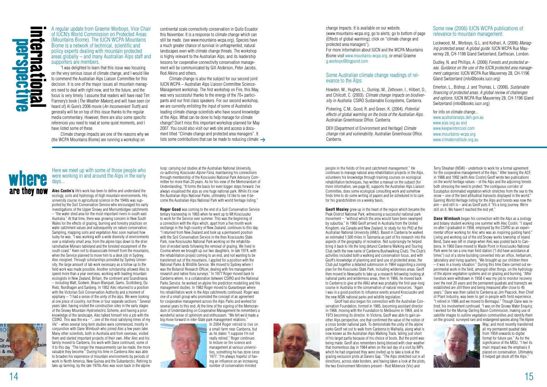Terry Sheahan (NSW) - undertook to work for a formal agreement for the cooperative management of the Alps." After leaving the ACF, in 1988 and 1992 (with Alec Costin) Geoff wrote two publications on the world heritage values – of the Alps and the adjoining forests both stressing the need to protect "the contiguous corridor of Eucalyptus dominated vegetation which stretches from the sea to the snow – one of the best altitudinal transects displayed in the world." Gaining World Heritage listing for the Alps and forests was now the  $a$ im – and still is – and as Geoff puts it "It's a long journey. We're still on it. We haven't reached the end yet."

**Dane Wimbush** began his connection with the Alps as a zoology and botany student working one summer with Alec Costin. "I stayed on after I graduated in 1958, employed by the CSIRO as an experimental officer working for Alec who was an inspiring guiding hand." Living and working out of the old Snowy works township of Island Bend, Dane was left in charge when Alec was posted back to Canberra. In 1960 Dane moved to Waste Point in Kosciuszko National Park were he ran a one man field station ("I did have assistance at times") out of a stone building converted into an office, herbarium, laboratory and living quarters. "We brought up our children there – it was in a lovely situation." During this time Dane carried out experimental work in the field, amongst other things, on the hydrology of the alpine vegetation systems and on grazing and burning. "After livestock were withdrawn in 1958 it was my job to monitor recovery over the next 20 years and the permanent quadrats and transects we established are *still* there and being measured after close to 45 years." Dane was then called to Canberra as Jim Peacock, then Chief of Plant Industry, was keen to get in people with field experience. "I retired in 1986 and we moved to Bermagui." Though Dane was retired, his involvement continued. "I was on the Snowy Water Enquiry; I worked for the Murray Darling Basin Commission, making use of satellite images to outline vegetation communities and identify them on the ground; surveyed rare and endangered species along The Alpine



Way; and most recently transferred all my permanent quadrat data from 1959 onwards to digital format for future use." As for the significance of the MOU. "I feel its main impact was the emphasis it placed on conservation. Ultimately it helped get stock off the Alps."

people in the fields of fire and catchment management." He continues to manage natural area rehabilitation projects in the Alps, volunteers his knowledge through training courses on ecological rehabilitation techniques, has written a manual on the subject (for more information, see page 8), supports the Australian Alps Liaison Committee, does some ecological consulting work and somehow finds time to do some writing of papers and be scheduled in to care for his grandchildren on a weekly basis.

**Geoff Mosley** grew up in the heart of the region which became the Peak District National Park, witnessing a successful national park movement – "without which the area would have been swamped by suburbia." In 1960 Geoff arrived in Australia from the United Kingdom, via Canada and New Zealand, to study for his PhD at the Australian National University (ANU). Based in Canberra he walked an estimated 1,500 miles in Tasmania as part of his research into the aspects of the geography of recreation. Not surprisingly he helped bring it back to life the long defunct Canberra Walking and Touring Club (with the new name of Canberra Bushwalking Club). The Club's activities included both a walking and conservation focus, and with Geoff's knowledge of planning and land use of protected areas, the Club put together a detailed submission in 1964 supporting a zoning plan for the Kosciusko State Park, including wilderness areas. Geoff then moved to Newcastle to take up a research fellowship looking at national parks and wilderness areas, then in 1966, he moved back to Canberra to give at the ANU what was probably the first year-long course in Australia in the conservation of natural resources. "Again I was in a good position to influence events around Kosciuszko and the new NSW national parks and wildlife legislation."

Geoff had also begun his connection with the Australian Conservation Foundation, formed in 1965, becoming assistant director in 1968, moving with the Foundation to Melbourne in 1969, and in 1973 becoming its director. In Victoria, Geoff was able to gain another Alps perspective, one that confirmed the value of the notion of a cross border national park. To demonstrate the unity of the alpine parks Geoff set out to walk from Canberra to Walhalla, along what is now known as the Australian Alps Walking Track, falling just short of his target partly because of his choice of boots. But the point was being made. Geoff also remembers being blessed with clear weather that momentous day in 1984 when on the last day of a visit by MPs which he had organised they were invited up to take a look at the grazing exclusion plots at Daners Gap. "The Alps stretched out in all directions, across state borders, and having taken a look at the plots, the two Environment Ministers present - Rod Mckenzie (Vic) and

tain

**SO** 

 $DrA$ nitme

 $8<sub>m</sub>$ 

**Are they now** Alec Costin's life's work has been to define and understand the ecology, soils and hydrology of high mountain environments. His university course in agricultural science in the 1940s was supported by the Soil Conservation Service who encouraged his early investigations of the Upper Snowy and Murrumbidgee catchments – "the water shed area for the most important rivers in south east Australia." At that time, there was growing concern in New South Wales for the effects of grazing, burning and forestry practices on water catchment values and subsequently on nature conservation. Sampling, mapping soils and vegetation Alec soon realised how lucky he was. "I was working with a wide diversity of environments over a relatively small area, from the alpine tops down to the drier rainshadow Monaro tableland and the forested escarpment of the south coast." Keen not to disassociate himself from the mountains. when the Service planned to move him to a desk job in Sydney. Alec resigned. Through scholarships provided by Sydney University, the large amount of lab work necessary as a follow up to the field work was made possible. Another scholarship allowed Alec to spend more than a year overseas, working with leading mountain ecologists in New Zealand, Britain, the continent and Scandinavia – including Watt, Godwin, Braun-Blanquet, Gams, Scottsberg, Du Rietz, Nordhagen and Sanberg. In 1952 Alec returned to a position with the Victorian Soil Conservation Authority and a moment of epiphany – "I had a sense of the unity of the alps. We were looking at one piece of country, not three or four separate sections." Several years later, having visited the construction sites in the early stages of the Snowy Mountain Hydroelectric Scheme, and having a prior knowledge of the landscape, Alec talked himself into a job with the CSIRO. This was the era - "...one of the most satisfying times of my life" - when several long term studies were commenced, mostly in conjunction with Dane Wimbush who joined Alec a few years later. Many other scientists, both in Australia and from overseas, visited them and started important projects of their own. After Alec and his family moved to Canberra, his work with Dane continued, some of it to this day. "The longer the measurements can be made, the more valuable they become." During his time in Canberra Alec was able to broaden his experience of mountain environments by periods of work in North America, New Guinea and the Subantarctic. Retiring to take up farming, by the late 1970s Alec was soon back in the alpine

loop: carrying out studies at the Australian National University, co-authoring *Kosciusko Alpine Flora*, maintaining his connections through membership of the Kosciusko National Park Advisory Committee for more than 20 years. As for his view of the Memorandum of Understanding, "It forms the basis for even bigger steps forward. I've always visualised the alps as one huge national park. While it's now the Australian Alps National Parks, ultimately I'd like to see it become the Australian Alps National Park with world heritage listing."

Climate change is also the subject for our second joint IUCN WCPA – Australian Alps Liaison Committee Science-Management workshop. The first workshop on Fire, this May, was very successful thanks to the energy of the 70+ participants and our first class speakers. For our second workshop, we are currently enlisting the input of some of Australia's leading climate change scientists who have sound knowledge of the Alps. What can be done to help manage for climate change? Don't miss this important workshop planned for May 2007. You could also visit our web site and access a document titled "Climate change and protected area managers". It lists some contributions that can be made to reducing climate  $\rightarrow$ 

# here

**Roger Good** was coming to the end of a Soil Conservation Service tertiary traineeship in 1963 when he went up to Mt Kosciuszko to work for the Service over summer. This was the beginning of a connection with the Alps which, apart from a five month work exchange in the high country of New Zealand, continues to this day. "I returned from New Zealand and took up a permanent position with the Soil Conservation Service in the then Kosciuszko State Park, now Kosciuszko National Park working on the rehabilitation of eroded lands following the removal of grazing. We lived in Cooma where we brought up our two daughters. In late 1974, with the rehabilitation project coming to an end, and not wanting to be transferred out of the mountains, I applied for a position with the National Parks & Wildlife Service. We moved to Sydney where I was the Botanist Research Officer, dealing with fire management research and native flora surveys." In 1977 Roger moved back to Canberra where, in a collaboration between CSIRO and the National Parks Service, he worked on alpine fire prediction modelling and fire management studies. In 1982 Roger moved to Queanbeyan where his rehabilitation work in the Alps catchments continued. Roger was one of a small group who promoted the concept of an agreement for cooperative management across the Alps Parks and worked for several years to this end. At the time of the signing of the Memorandum of Understanding on Cooperative Management he remembers a wonderful sense of optimism and enthusiasm. "We felt we'd made a big move forward in inter-State park management relations."



In 2004 Roger retired to live on a small farm near Canberra, but as he states "I suppose I'm not really retired." Roger continues to lecture on fire science and management at various universities, something he has done since 1977. "I'm always hopeful of having an influence on an increasing number of conservation minded

Here we meet up with some of those people who were working in and around the Alps in the early days...

A regular update from Graeme Worboys, Vice Chair of IUCN's World Commission on Protected Areas (Mountains Biome). The IUCN WCPA Mountains Biome is a network of technical, scientific and policy experts dealing with mountain protected areas globally – and many Australian Alps staff and supporters are members.

"I was delighted to learn that this issue was focusing on the very serious issue of climate change, and I would like to commend the Australian Alps Liaison Committee for this decision. It is one of the major issues all mountain managers need to deal with right now, and for the future, and the focus is very timely. I assume that readers will have read Tim Flannery's book (*The Weather Makers*) and will have seen (or heard of) Al Gore's 2006 movie (*An Inconvenient Truth*) and generally will be on top of this issue thanks to the regular media commentary. However, there are also some specific references you need to read at some quiet moments, and I have listed some of these.

Climate change impacts are one of the reasons why we (the WCPA Mountains Biome) are running a workshop on

continental scale connectivity conservation in Quito Ecuador this November. It is a response to climate change which can still be made. (see www.mountains-wcpa.org). Species have a much greater chance of survival in unfragmented, natural landscapes even with climate change threats. The workshop is highly relevant to the Australian Alps, and its leadership lessons for cooperative connectivity conservation management will be communicated by Gill Anderson, Peter Jacobs, Rod Atkins and others.

# perspective international

change impacts. It is available on our website. (www.mountains-wcpa.org; go to alerts; go to bottom of page (Effects of global warming); click on "climate change and protected area managers"). For more information about IUCN and the WCPA Mountains

Biome visit www.mountains-wcpa.org, or email Graeme g.worboys@bigpond.com

# Some Australian climate change readings of rel- evance to the Alps:

Howden, M., Hughes, L., Dunlop, M., Zethoven, I., Hilbert, D., and Chilcott, C. (2003). *Climate change impacts on biodiversity in Australia*. CSIRO Sustainable Ecosystems, Canberra.

Pickering, C.M., Good, R. and Green, K. (2004). *Potential effects of global warming on the biota of the Australian Alps*. Australian Greenhouse Office. Canberra.

DEH [Department of Environment and Heritage] *Climate change risk and vulnerability*. Australian Greenhouse Office. Canberra.

## Some new (2006) IUCN WCPA publications of relevance to mountain management:

Lockwood, M., Worboys, G.L. and Kothari, A. (2006) *Managing protected areas: A global guide*. IUCN WCPA Rue Mauverney 28, CH-1196 Gland Switzerland, Earthscan, London.

Dudley, N. and Phillips, A. (2006) *Forests and protected areas. Guidance on the use of the IUCN protected area management categories*. IUCN WCPA Rue Mauverney 28, CH-1196 Gland Switzerland (info@books.iucn.org)

Emerton, L., Bishop, J. and Thomas, L. (2006). *Sustainable financing of protected areas. A global review of challenges and options*. IUCN WCPA Rue Mauverney 28, CH-1196 Gland Switzerland (info@books.iucn.org)

for info on climate change... www.australianalps.deh.gov.au www.aias.org.au and www.keepwintercool.com www.mountains-wcpa.org www.climateinstitute.org.au